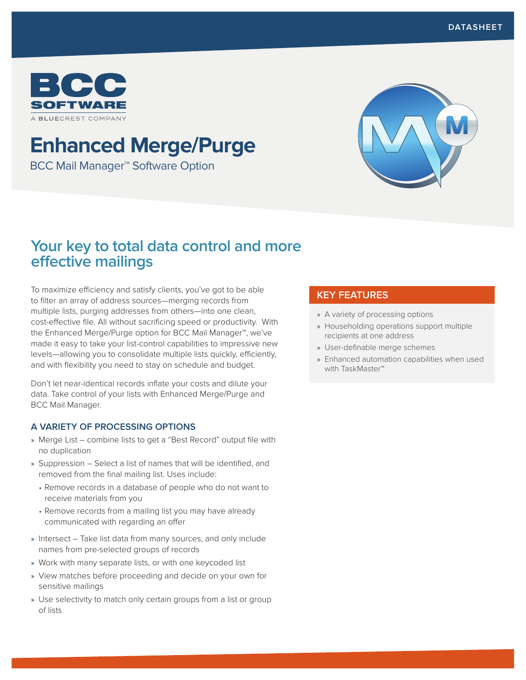

# **Enhanced Merge/Purge**

BCC Mail Manager™ Software Option



# **Your key to total data control and more effective mailings**

To maximize efficiency and satisfy clients, you've got to be able to filter an array of address sources—merging records from multiple lists, purging addresses from others—into one clean, cost-effective file. All without sacrificing speed or productivity. With the Enhanced Merge/Purge option for BCC Mail Manager™, we've made it easy to take your list-control capabilities to impressive new levels—allowing you to consolidate multiple lists quickly, efficiently, and with flexibility you need to stay on schedule and budget.

Don't let near-identical records inflate your costs and dilute your data. Take control of your lists with Enhanced Merge/Purge and BCC Mail Manager.

### **A VARIETY OF PROCESSING OPTIONS**

- » Merge List combine lists to get a "Best Record" output file with no duplication
- » Suppression Select a list of names that will be identified, and removed from the final mailing list. Uses include:
	- Remove records in a database of people who do not want to receive materials from you
	- Remove records from a mailing list you may have already communicated with regarding an offer
- » Intersect Take list data from many sources, and only include names from pre-selected groups of records
- » Work with many separate lists, or with one keycoded list
- » View matches before proceeding and decide on your own for sensitive mailings
- » Use selectivity to match only certain groups from a list or group of lists

## **KEY FEATURES**

- » A variety of processing options
- » Householding operations support multiple recipients at one address
- » User-definable merge schemes
- » Enhanced automation capabilities when used with TaskMaster™